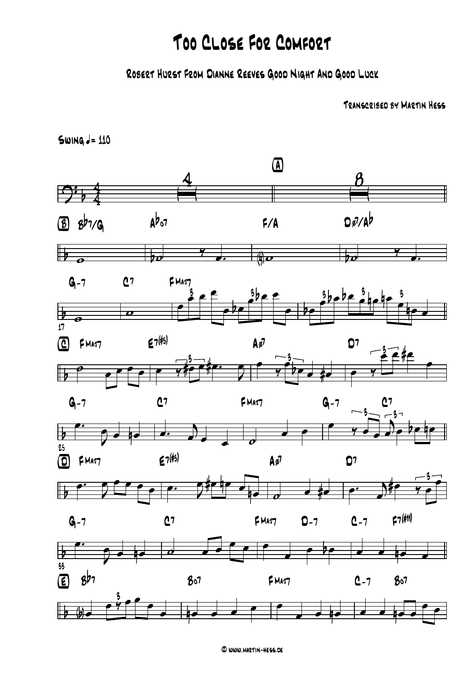## Too Close For Comfort

Robert Hurst From Dianne Reeves Good Night And Good Luck

Transcribed by Martin Hess

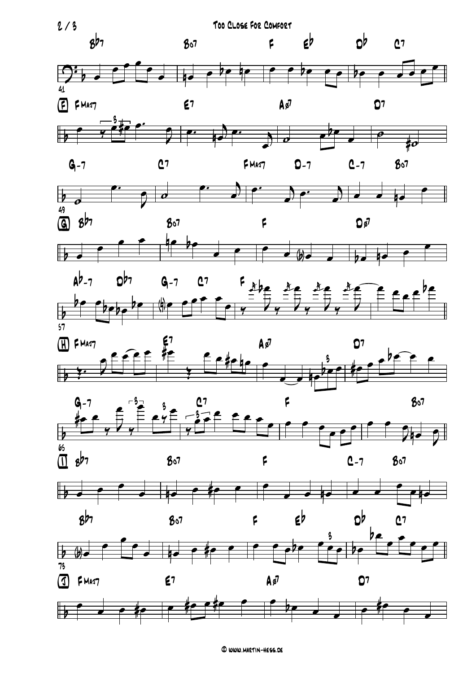